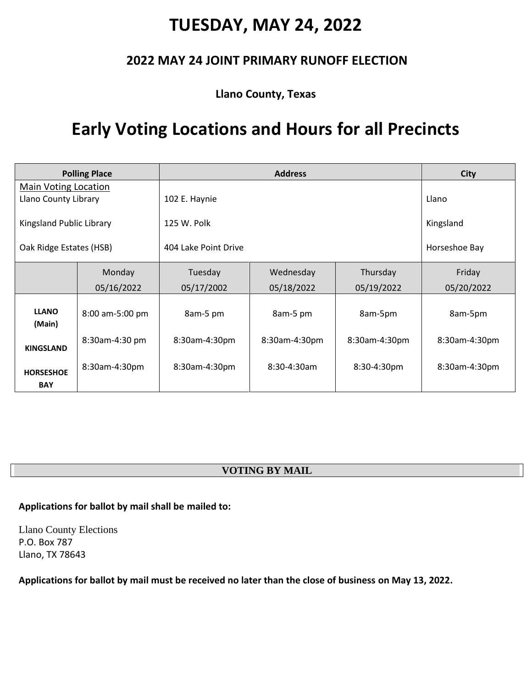### **TUESDAY, MAY 24, 2022**

### **2022 MAY 24 JOINT PRIMARY RUNOFF ELECTION**

**Llano County, Texas**

## **Early Voting Locations and Hours for all Precincts**

| <b>Polling Place</b>           |                 | <b>Address</b>       |                  |               | <b>City</b>   |
|--------------------------------|-----------------|----------------------|------------------|---------------|---------------|
| <b>Main Voting Location</b>    |                 |                      |                  |               |               |
| Llano County Library           |                 | 102 E. Haynie        |                  |               | Llano         |
| Kingsland Public Library       |                 | 125 W. Polk          |                  |               | Kingsland     |
| Oak Ridge Estates (HSB)        |                 | 404 Lake Point Drive |                  |               | Horseshoe Bay |
|                                | Monday          | Tuesday              | Wednesday        | Thursday      | Friday        |
|                                | 05/16/2022      | 05/17/2002           | 05/18/2022       | 05/19/2022    | 05/20/2022    |
| <b>LLANO</b><br>(Main)         | 8:00 am-5:00 pm | 8am-5 pm             | 8am-5 pm         | 8am-5pm       | 8am-5pm       |
| <b>KINGSLAND</b>               | 8:30am-4:30 pm  | 8:30am-4:30pm        | 8:30am-4:30pm    | 8:30am-4:30pm | 8:30am-4:30pm |
| <b>HORSESHOE</b><br><b>BAY</b> | 8:30am-4:30pm   | 8:30am-4:30pm        | $8:30 - 4:30$ am | 8:30-4:30pm   | 8:30am-4:30pm |

#### **VOTING BY MAIL**

#### **Applications for ballot by mail shall be mailed to:**

Llano County Elections P.O. Box 787 Llano, TX 78643

**Applications for ballot by mail must be received no later than the close of business on May 13, 2022.**